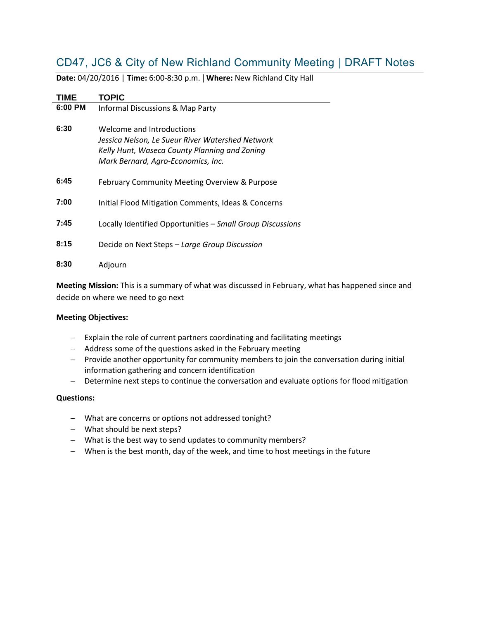# CD47, JC6 & City of New Richland Community Meeting | DRAFT Notes

| <b>TIME</b> | <b>TOPIC</b>                                                                                                                                                         |
|-------------|----------------------------------------------------------------------------------------------------------------------------------------------------------------------|
| 6:00 PM     | Informal Discussions & Map Party                                                                                                                                     |
| 6:30        | Welcome and Introductions<br>Jessica Nelson, Le Sueur River Watershed Network<br>Kelly Hunt, Waseca County Planning and Zoning<br>Mark Bernard, Agro-Economics, Inc. |
| 6:45        | February Community Meeting Overview & Purpose                                                                                                                        |
| 7:00        | Initial Flood Mitigation Comments, Ideas & Concerns                                                                                                                  |
| 7:45        | Locally Identified Opportunities - Small Group Discussions                                                                                                           |
| 8:15        | Decide on Next Steps - Large Group Discussion                                                                                                                        |
| 8:30        | Adjourn                                                                                                                                                              |

**Date:** 04/20/2016 | **Time:** 6:00-8:30 p.m. | **Where:** New Richland City Hall

**Meeting Mission:** This is a summary of what was discussed in February, what has happened since and decide on where we need to go next

## **Meeting Objectives:**

- Explain the role of current partners coordinating and facilitating meetings
- Address some of the questions asked in the February meeting
- Provide another opportunity for community members to join the conversation during initial information gathering and concern identification
- Determine next steps to continue the conversation and evaluate options for flood mitigation

## **Questions:**

- What are concerns or options not addressed tonight?
- What should be next steps?
- What is the best way to send updates to community members?
- When is the best month, day of the week, and time to host meetings in the future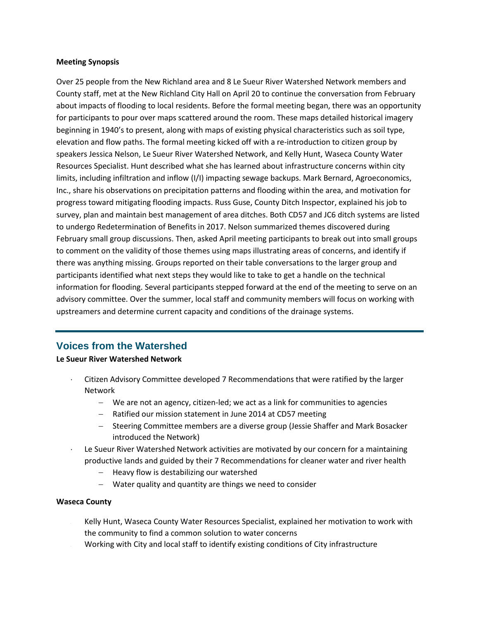#### **Meeting Synopsis**

Over 25 people from the New Richland area and 8 Le Sueur River Watershed Network members and County staff, met at the New Richland City Hall on April 20 to continue the conversation from February about impacts of flooding to local residents. Before the formal meeting began, there was an opportunity for participants to pour over maps scattered around the room. These maps detailed historical imagery beginning in 1940's to present, along with maps of existing physical characteristics such as soil type, elevation and flow paths. The formal meeting kicked off with a re-introduction to citizen group by speakers Jessica Nelson, Le Sueur River Watershed Network, and Kelly Hunt, Waseca County Water Resources Specialist. Hunt described what she has learned about infrastructure concerns within city limits, including infiltration and inflow (I/I) impacting sewage backups. Mark Bernard, Agroeconomics, Inc., share his observations on precipitation patterns and flooding within the area, and motivation for progress toward mitigating flooding impacts. Russ Guse, County Ditch Inspector, explained his job to survey, plan and maintain best management of area ditches. Both CD57 and JC6 ditch systems are listed to undergo Redetermination of Benefits in 2017. Nelson summarized themes discovered during February small group discussions. Then, asked April meeting participants to break out into small groups to comment on the validity of those themes using maps illustrating areas of concerns, and identify if there was anything missing. Groups reported on their table conversations to the larger group and participants identified what next steps they would like to take to get a handle on the technical information for flooding. Several participants stepped forward at the end of the meeting to serve on an advisory committee. Over the summer, local staff and community members will focus on working with upstreamers and determine current capacity and conditions of the drainage systems.

# **Voices from the Watershed**

**Le Sueur River Watershed Network**

- Citizen Advisory Committee developed 7 Recommendations that were ratified by the larger Network
	- We are not an agency, citizen-led; we act as a link for communities to agencies
	- Ratified our mission statement in June 2014 at CD57 meeting
	- Steering Committee members are a diverse group (Jessie Shaffer and Mark Bosacker introduced the Network)
- Le Sueur River Watershed Network activities are motivated by our concern for a maintaining productive lands and guided by their 7 Recommendations for cleaner water and river health
	- $-$  Heavy flow is destabilizing our watershed
	- Water quality and quantity are things we need to consider

## **Waseca County**

- Kelly Hunt, Waseca County Water Resources Specialist, explained her motivation to work with the community to find a common solution to water concerns
- Working with City and local staff to identify existing conditions of City infrastructure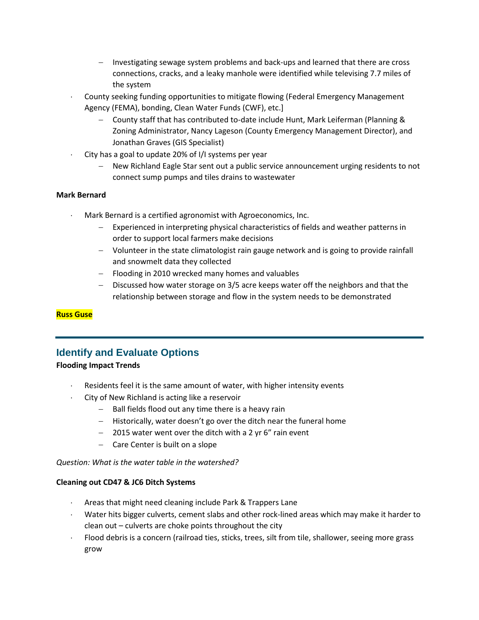- Investigating sewage system problems and back-ups and learned that there are cross connections, cracks, and a leaky manhole were identified while televising 7.7 miles of the system
- County seeking funding opportunities to mitigate flowing (Federal Emergency Management Agency (FEMA), bonding, Clean Water Funds (CWF), etc.]
	- County staff that has contributed to-date include Hunt, Mark Leiferman (Planning & Zoning Administrator, Nancy Lageson (County Emergency Management Director), and Jonathan Graves (GIS Specialist)
- City has a goal to update 20% of I/I systems per year
	- New Richland Eagle Star sent out a public service announcement urging residents to not connect sump pumps and tiles drains to wastewater

## **Mark Bernard**

- Mark Bernard is a certified agronomist with Agroeconomics, Inc.
	- Experienced in interpreting physical characteristics of fields and weather patterns in order to support local farmers make decisions
	- Volunteer in the state climatologist rain gauge network and is going to provide rainfall and snowmelt data they collected
	- Flooding in 2010 wrecked many homes and valuables
	- Discussed how water storage on 3/5 acre keeps water off the neighbors and that the relationship between storage and flow in the system needs to be demonstrated

## **Russ Guse**

# **Identify and Evaluate Options**

## **Flooding Impact Trends**

- Residents feel it is the same amount of water, with higher intensity events
- City of New Richland is acting like a reservoir
	- $-$  Ball fields flood out any time there is a heavy rain
	- Historically, water doesn't go over the ditch near the funeral home
	- $-$  2015 water went over the ditch with a 2 yr 6" rain event
	- Care Center is built on a slope

*Question: What is the water table in the watershed?*

## **Cleaning out CD47 & JC6 Ditch Systems**

- Areas that might need cleaning include Park & Trappers Lane
- Water hits bigger culverts, cement slabs and other rock-lined areas which may make it harder to clean out – culverts are choke points throughout the city
- Flood debris is a concern (railroad ties, sticks, trees, silt from tile, shallower, seeing more grass grow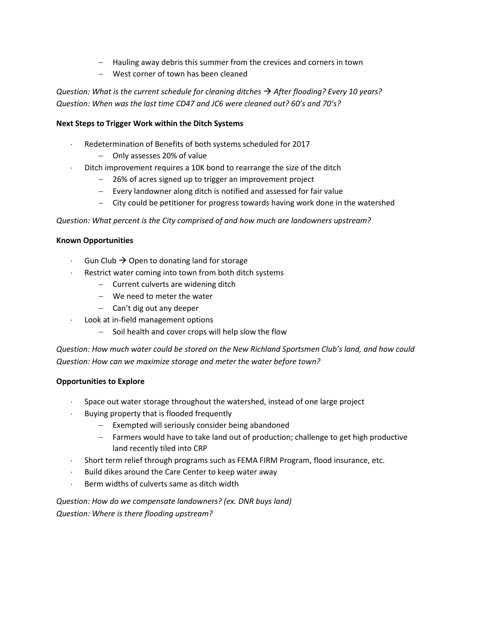- Hauling away debris this summer from the crevices and corners in town
- West corner of town has been cleaned

*Question: What is the current schedule for cleaning ditches After flooding? Every 10 years? Question: When was the last time CD47 and JC6 were cleaned out? 60's and 70's?*

## **Next Steps to Trigger Work within the Ditch Systems**

- Redetermination of Benefits of both systems scheduled for 2017
	- Only assesses 20% of value
- Ditch improvement requires a 10K bond to rearrange the size of the ditch
	- 26% of acres signed up to trigger an improvement project
	- $\overline{-}$  Every landowner along ditch is notified and assessed for fair value
	- City could be petitioner for progress towards having work done in the watershed

*Question: What percent is the City comprised of and how much are landowners upstream?*

#### **Known Opportunities**

- Gun Club  $\rightarrow$  Open to donating land for storage
- Restrict water coming into town from both ditch systems
	- Current culverts are widening ditch
	- We need to meter the water
	- $-$  Can't dig out any deeper
- Look at in-field management options
	- Soil health and cover crops will help slow the flow

*Question: How much water could be stored on the New Richland Sportsmen Club's land, and how could Question: How can we maximize storage and meter the water before town?*

## **Opportunities to Explore**

- Space out water storage throughout the watershed, instead of one large project
- Buying property that is flooded frequently
	- $-$  Exempted will seriously consider being abandoned
	- Farmers would have to take land out of production; challenge to get high productive land recently tiled into CRP
- Short term relief through programs such as FEMA FIRM Program, flood insurance, etc.
- $-Buid$  dikes around the Care Center to keep water away
- Berm widths of culverts same as ditch width

# *Question: How do we compensate landowners? (ex. DNR buys land) Question: Where is there flooding upstream?*